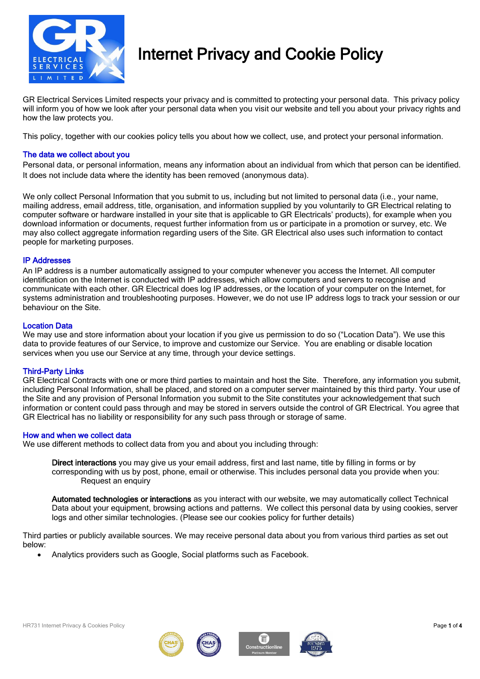

## Internet Privacy and Cookie Policy

GR Electrical Services Limited respects your privacy and is committed to protecting your personal data. This privacy policy will inform you of how we look after your personal data when you visit our website and tell you about your privacy rights and how the law protects you.

This policy, together with our cookies policy tells you about how we collect, use, and protect your personal information.

## The data we collect about you

Personal data, or personal information, means any information about an individual from which that person can be identified. It does not include data where the identity has been removed (anonymous data).

We only collect Personal Information that you submit to us, including but not limited to personal data (i.e., your name, mailing address, email address, title, organisation, and information supplied by you voluntarily to GR Electrical relating to computer software or hardware installed in your site that is applicable to GR Electricals' products), for example when you download information or documents, request further information from us or participate in a promotion or survey, etc. We may also collect aggregate information regarding users of the Site. GR Electrical also uses such information to contact people for marketing purposes.

## IP Addresses

An IP address is a number automatically assigned to your computer whenever you access the Internet. All computer identification on the Internet is conducted with IP addresses, which allow computers and servers to recognise and communicate with each other. GR Electrical does log IP addresses, or the location of your computer on the Internet, for systems administration and troubleshooting purposes. However, we do not use IP address logs to track your session or our behaviour on the Site.

## Location Data

We may use and store information about your location if you give us permission to do so ("Location Data"). We use this data to provide features of our Service, to improve and customize our Service. You are enabling or disable location services when you use our Service at any time, through your device settings.

## Third-Party Links

GR Electrical Contracts with one or more third parties to maintain and host the Site. Therefore, any information you submit, including Personal Information, shall be placed, and stored on a computer server maintained by this third party. Your use of the Site and any provision of Personal Information you submit to the Site constitutes your acknowledgement that such information or content could pass through and may be stored in servers outside the control of GR Electrical. You agree that GR Electrical has no liability or responsibility for any such pass through or storage of same.

## How and when we collect data

We use different methods to collect data from you and about you including through:

Direct interactions you may give us your email address, first and last name, title by filling in forms or by corresponding with us by post, phone, email or otherwise. This includes personal data you provide when you: Request an enquiry

Automated technologies or interactions as you interact with our website, we may automatically collect Technical Data about your equipment, browsing actions and patterns. We collect this personal data by using cookies, server logs and other similar technologies. (Please see our cookies policy for further details)

Third parties or publicly available sources. We may receive personal data about you from various third parties as set out below:

• Analytics providers such as Google, Social platforms such as Facebook.





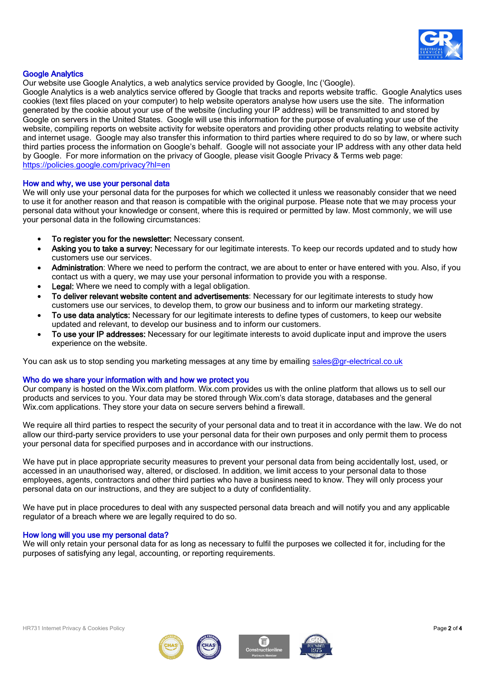

## Google Analytics

Our website use Google Analytics, a web analytics service provided by Google, Inc ('Google).

Google Analytics is a web analytics service offered by Google that tracks and reports website traffic. Google Analytics uses cookies (text files placed on your computer) to help website operators analyse how users use the site. The information generated by the cookie about your use of the website (including your IP address) will be transmitted to and stored by Google on servers in the United States. Google will use this information for the purpose of evaluating your use of the website, compiling reports on website activity for website operators and providing other products relating to website activity and internet usage. Google may also transfer this information to third parties where required to do so by law, or where such third parties process the information on Google's behalf. Google will not associate your IP address with any other data held by Google. For more information on the privacy of Google, please visit Google Privacy & Terms web page: <https://policies.google.com/privacy?hl=en>

## How and why, we use your personal data

We will only use your personal data for the purposes for which we collected it unless we reasonably consider that we need to use it for another reason and that reason is compatible with the original purpose. Please note that we may process your personal data without your knowledge or consent, where this is required or permitted by law. Most commonly, we will use your personal data in the following circumstances:

- To register you for the newsletter: Necessary consent.
- Asking you to take a survey: Necessary for our legitimate interests. To keep our records updated and to study how customers use our services.
- Administration: Where we need to perform the contract, we are about to enter or have entered with you. Also, if you contact us with a query, we may use your personal information to provide you with a response.
- Legal: Where we need to comply with a legal obligation.
- To deliver relevant website content and advertisements: Necessary for our legitimate interests to study how customers use our services, to develop them, to grow our business and to inform our marketing strategy.
- To use data analytics: Necessary for our legitimate interests to define types of customers, to keep our website updated and relevant, to develop our business and to inform our customers.
- To use your IP addresses: Necessary for our legitimate interests to avoid duplicate input and improve the users experience on the website.

You can ask us to stop sending you marketing messages at any time by emailing [sales@gr-electrical.co.uk](mailto:sales@gr-electrical.co.uk)

## Who do we share your information with and how we protect you

Our company is hosted on the Wix.com platform. Wix.com provides us with the online platform that allows us to sell our products and services to you. Your data may be stored through Wix.com's data storage, databases and the general Wix.com applications. They store your data on secure servers behind a firewall.

We require all third parties to respect the security of your personal data and to treat it in accordance with the law. We do not allow our third-party service providers to use your personal data for their own purposes and only permit them to process your personal data for specified purposes and in accordance with our instructions.

We have put in place appropriate security measures to prevent your personal data from being accidentally lost, used, or accessed in an unauthorised way, altered, or disclosed. In addition, we limit access to your personal data to those employees, agents, contractors and other third parties who have a business need to know. They will only process your personal data on our instructions, and they are subject to a duty of confidentiality.

We have put in place procedures to deal with any suspected personal data breach and will notify you and any applicable regulator of a breach where we are legally required to do so.

#### How long will you use my personal data?

We will only retain your personal data for as long as necessary to fulfil the purposes we collected it for, including for the purposes of satisfying any legal, accounting, or reporting requirements.





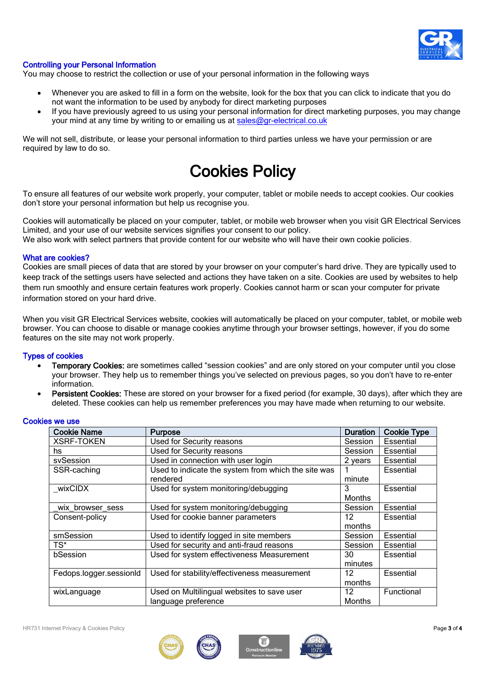

## Controlling your Personal Information

You may choose to restrict the collection or use of your personal information in the following ways

- Whenever you are asked to fill in a form on the website, look for the box that you can click to indicate that you do not want the information to be used by anybody for direct marketing purposes
- If you have previously agreed to us using your personal information for direct marketing purposes, you may change your mind at any time by writing to or emailing us at [sales@gr-electrical.co.uk](mailto:sales@gr-electrical.co.uk)

We will not sell, distribute, or lease your personal information to third parties unless we have your permission or are required by law to do so.

# Cookies Policy

To ensure all features of our website work properly, your computer, tablet or mobile needs to accept cookies. Our cookies don't store your personal information but help us recognise you.

Cookies will automatically be placed on your computer, tablet, or mobile web browser when you visit GR Electrical Services Limited, and your use of our website services signifies your consent to our policy.

We also work with select partners that provide content for our website who will have their own cookie policies.

#### What are cookies?

Cookies are small pieces of data that are stored by your browser on your computer's hard drive. They are typically used to keep track of the settings users have selected and actions they have taken on a site. Cookies are used by websites to help them run smoothly and ensure certain features work properly. Cookies cannot harm or scan your computer for private information stored on your hard drive.

When you visit GR Electrical Services website, cookies will automatically be placed on your computer, tablet, or mobile web browser. You can choose to disable or manage cookies anytime through your browser settings, however, if you do some features on the site may not work properly.

## Types of cookies

- Temporary Cookies: are sometimes called "session cookies" and are only stored on your computer until you close your browser. They help us to remember things you've selected on previous pages, so you don't have to re-enter information.
- Persistent Cookies: These are stored on your browser for a fixed period (for example, 30 days), after which they are deleted. These cookies can help us remember preferences you may have made when returning to our website.

| Cookie Name             | <b>Purpose</b>                                                    | <b>Duration</b> | <b>Cookie Type</b> |
|-------------------------|-------------------------------------------------------------------|-----------------|--------------------|
| <b>XSRF-TOKEN</b>       | Used for Security reasons                                         | Session         | Essential          |
| hs                      | Used for Security reasons                                         | Session         | Essential          |
| svSession               | Used in connection with user login                                | 2 years         | <b>Essential</b>   |
| SSR-caching             | Used to indicate the system from which the site was<br>rendered   | minute          | Essential          |
| wixCIDX                 | Used for system monitoring/debugging                              | 3<br>Months     | Essential          |
| wix browser sess        | Used for system monitoring/debugging                              | Session         | Essential          |
| Consent-policy          | Used for cookie banner parameters                                 | 12<br>months    | Essential          |
| smSession               | Used to identify logged in site members                           | Session         | Essential          |
| TS*                     | Used for security and anti-fraud reasons                          | Session         | Essential          |
| bSession                | Used for system effectiveness Measurement                         | 30<br>minutes   | Essential          |
| Fedops.logger.sessionId | Used for stability/effectiveness measurement                      | 12<br>months    | <b>Essential</b>   |
| wixLanguage             | Used on Multilingual websites to save user<br>language preference | 12<br>Months    | Functional         |

## Cookies we use